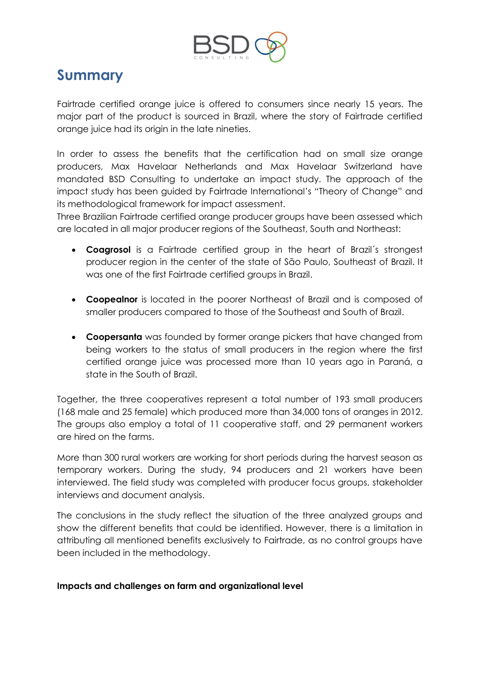

## **Summary**

Fairtrade certified orange juice is offered to consumers since nearly 15 years. The major part of the product is sourced in Brazil, where the story of Fairtrade certified orange juice had its origin in the late nineties.

In order to assess the benefits that the certification had on small size orange producers, Max Havelaar Netherlands and Max Havelaar Switzerland have mandated BSD Consulting to undertake an impact study. The approach of the impact study has been guided by Fairtrade International's "Theory of Change" and its methodological framework for impact assessment.

Three Brazilian Fairtrade certified orange producer groups have been assessed which are located in all major producer regions of the Southeast, South and Northeast:

- **Coagrosol** is a Fairtrade certified group in the heart of Brazil´s strongest producer region in the center of the state of São Paulo, Southeast of Brazil. It was one of the first Fairtrade certified groups in Brazil.
- **Coopealnor** is located in the poorer Northeast of Brazil and is composed of smaller producers compared to those of the Southeast and South of Brazil.
- **Coopersanta** was founded by former orange pickers that have changed from being workers to the status of small producers in the region where the first certified orange juice was processed more than 10 years ago in Paraná, a state in the South of Brazil.

Together, the three cooperatives represent a total number of 193 small producers (168 male and 25 female) which produced more than 34,000 tons of oranges in 2012. The groups also employ a total of 11 cooperative staff, and 29 permanent workers are hired on the farms.

More than 300 rural workers are working for short periods during the harvest season as temporary workers. During the study, 94 producers and 21 workers have been interviewed. The field study was completed with producer focus groups, stakeholder interviews and document analysis.

The conclusions in the study reflect the situation of the three analyzed groups and show the different benefits that could be identified. However, there is a limitation in attributing all mentioned benefits exclusively to Fairtrade, as no control groups have been included in the methodology.

## **Impacts and challenges on farm and organizational level**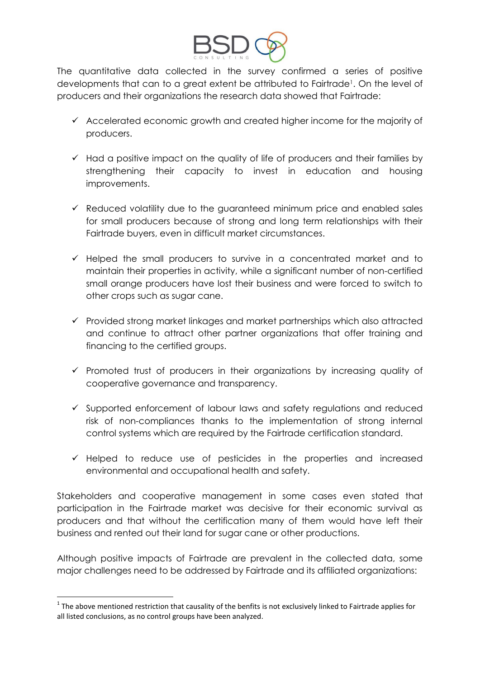

The quantitative data collected in the survey confirmed a series of positive developments that can to a great extent be attributed to Fairtrade<sup>1</sup>. On the level of producers and their organizations the research data showed that Fairtrade:

- $\checkmark$  Accelerated economic growth and created higher income for the majority of producers.
- $\checkmark$  Had a positive impact on the quality of life of producers and their families by strengthening their capacity to invest in education and housing improvements.
- $\checkmark$  Reduced volatility due to the quaranteed minimum price and enabled sales for small producers because of strong and long term relationships with their Fairtrade buyers, even in difficult market circumstances.
- $\checkmark$  Helped the small producers to survive in a concentrated market and to maintain their properties in activity, while a significant number of non-certified small orange producers have lost their business and were forced to switch to other crops such as sugar cane.
- $\checkmark$  Provided strong market linkages and market partnerships which also attracted and continue to attract other partner organizations that offer training and financing to the certified groups.
- $\checkmark$  Promoted trust of producers in their organizations by increasing quality of cooperative governance and transparency.
- $\checkmark$  Supported enforcement of labour laws and safety regulations and reduced risk of non-compliances thanks to the implementation of strong internal control systems which are required by the Fairtrade certification standard.
- $\checkmark$  Helped to reduce use of pesticides in the properties and increased environmental and occupational health and safety.

Stakeholders and cooperative management in some cases even stated that participation in the Fairtrade market was decisive for their economic survival as producers and that without the certification many of them would have left their business and rented out their land for sugar cane or other productions.

Although positive impacts of Fairtrade are prevalent in the collected data, some major challenges need to be addressed by Fairtrade and its affiliated organizations:

1

 $1$  The above mentioned restriction that causality of the benfits is not exclusively linked to Fairtrade applies for all listed conclusions, as no control groups have been analyzed.